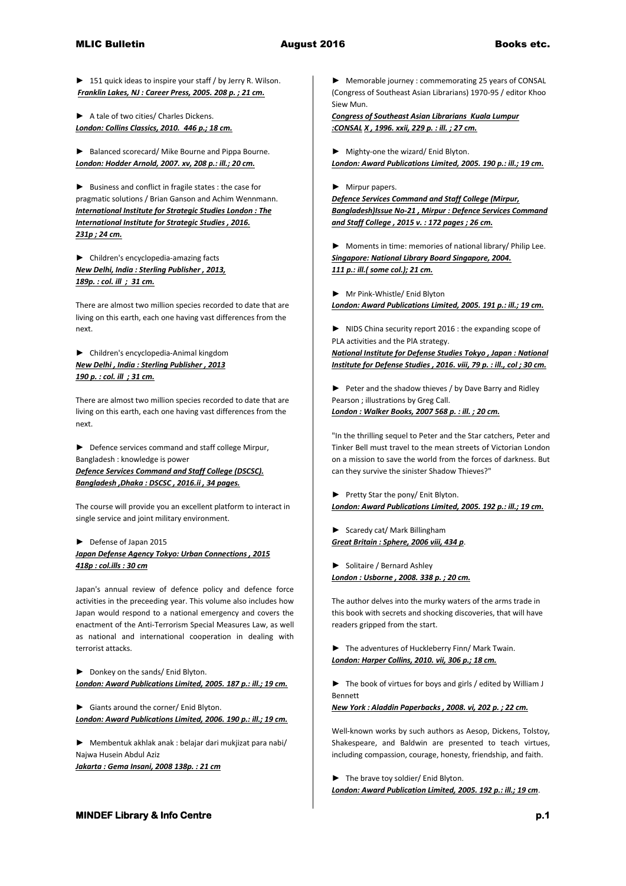**►** 151 quick ideas to inspire your staff / by Jerry R. Wilson. *Franklin Lakes, NJ : Career Press, 2005. 208 p. ; 21 cm.* 

**►** A tale of two cities/ Charles Dickens. *London: Collins Classics, 2010. 446 p.; 18 cm.* 

**►** Balanced scorecard/ Mike Bourne and Pippa Bourne. *London: Hodder Arnold, 2007. xv, 208 p.: ill.; 20 cm.* 

**►** Business and conflict in fragile states : the case for pragmatic solutions / Brian Ganson and Achim Wennmann. *International Institute for Strategic Studies London : The International Institute for Strategic Studies , 2016. 231p ; 24 cm.* 

**►** Children's encyclopedia-amazing facts *New Delhi, India : Sterling Publisher , 2013, 189p. : col. ill ; 31 cm.*

There are almost two million species recorded to date that are living on this earth, each one having vast differences from the next.

► Children's encyclopedia-Animal kingdom *New Delhi , India : Sterling Publisher , 2013 190 p. : col. ill ; 31 cm.*

There are almost two million species recorded to date that are living on this earth, each one having vast differences from the next.

**►** Defence services command and staff college Mirpur, Bangladesh : knowledge is power *Defence Services Command and Staff College (DSCSC). Bangladesh ,Dhaka : DSCSC , 2016.ii , 34 pages.*

The course will provide you an excellent platform to interact in single service and joint military environment.

## **►** Defense of Japan 2015 *Japan Defense Agency Tokyo: Urban Connections , 2015 418p : col.ills : 30 cm*

Japan's annual review of defence policy and defence force activities in the preceeding year. This volume also includes how Japan would respond to a national emergency and covers the enactment of the Anti-Terrorism Special Measures Law, as well as national and international cooperation in dealing with terrorist attacks.

**►** Donkey on the sands/ Enid Blyton. *London: Award Publications Limited, 2005. 187 p.: ill.; 19 cm.* 

► Giants around the corner/ Enid Blyton. *London: Award Publications Limited, 2006. 190 p.: ill.; 19 cm.* 

► Membentuk akhlak anak : belajar dari mukjizat para nabi/ Najwa Husein Abdul Aziz

*Jakarta : Gema Insani, 2008 138p. : 21 cm* 

► Memorable journey : commemorating 25 years of CONSAL (Congress of Southeast Asian Librarians) 1970-95 / editor Khoo Siew Mun.

*Congress of Southeast Asian Librarians Kuala Lumpur :CONSAL X , 1996. xxii, 229 p. : ill. ; 27 cm.*

► Mighty-one the wizard/ Enid Blyton.

*London: Award Publications Limited, 2005. 190 p.: ill.; 19 cm.* 

## ► Mirpur papers.

*Defence Services Command and Staff College (Mirpur, Bangladesh)Issue No-21 , Mirpur : Defence Services Command and Staff College , 2015 v. : 172 pages ; 26 cm.* 

► Moments in time: memories of national library/ Philip Lee. *Singapore: National Library Board Singapore, 2004. 111 p.: ill.( some col.); 21 cm.* 

► Mr Pink-Whistle/ Enid Blyton *London: Award Publications Limited, 2005. 191 p.: ill.; 19 cm.* 

► NIDS China security report 2016 : the expanding scope of PLA activities and the PlA strategy.

*National Institute for Defense Studies Tokyo , Japan : National Institute for Defense Studies , 2016. viii, 79 p. : ill., col ; 30 cm.* 

► Peter and the shadow thieves / by Dave Barry and Ridley Pearson ; illustrations by Greg Call. *London : Walker Books, 2007 568 p. : ill. ; 20 cm.*

"In the thrilling sequel to Peter and the Star catchers, Peter and Tinker Bell must travel to the mean streets of Victorian London on a mission to save the world from the forces of darkness. But can they survive the sinister Shadow Thieves?"

► Pretty Star the pony/ Enit Blyton. *London: Award Publications Limited, 2005. 192 p.: ill.; 19 cm.* 

► Scaredy cat/ Mark Billingham *Great Britain : Sphere, 2006 viii, 434 p*.

► Solitaire / Bernard Ashley *London : Usborne , 2008. 338 p. ; 20 cm.*

The author delves into the murky waters of the arms trade in this book with secrets and shocking discoveries, that will have readers gripped from the start.

► The adventures of Huckleberry Finn/ Mark Twain. *London: Harper Collins, 2010. vii, 306 p.; 18 cm.* 

► The book of virtues for boys and girls / edited by William J Bennett

*New York : Aladdin Paperbacks , 2008. vi, 202 p. ; 22 cm.*

Well-known works by such authors as Aesop, Dickens, Tolstoy, Shakespeare, and Baldwin are presented to teach virtues, including compassion, courage, honesty, friendship, and faith.

► The brave toy soldier/ Enid Blyton. *London: Award Publication Limited, 2005. 192 p.: ill.; 19 cm*.